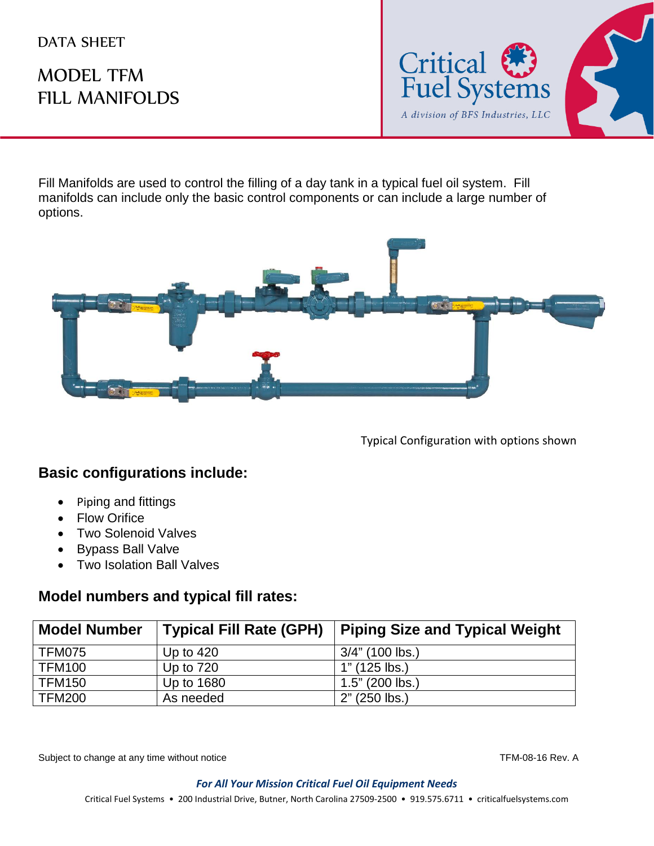#### DATA SHEET

# MODEL TFM FILL MANIFOLDS



Fill Manifolds are used to control the filling of a day tank in a typical fuel oil system. Fill manifolds can include only the basic control components or can include a large number of options.



Typical Configuration with options shown

#### **Basic configurations include:**

- Piping and fittings
- Flow Orifice
- Two Solenoid Valves
- Bypass Ball Valve
- Two Isolation Ball Valves

#### **Model numbers and typical fill rates:**

| <b>Model Number</b> | <b>Typical Fill Rate (GPH)</b> | <b>Piping Size and Typical Weight</b> |
|---------------------|--------------------------------|---------------------------------------|
| TFM075              | Up to $420$                    | 3/4" (100 lbs.)                       |
| <b>TFM100</b>       | Up to $720$                    | $1"$ (125 lbs.)                       |
| <b>TFM150</b>       | Up to 1680                     | $1.5$ " (200 lbs.)                    |
| <b>TFM200</b>       | As needed                      | 2" (250 lbs.)                         |

Subject to change at any time without notice TFM-08-16 Rev. A